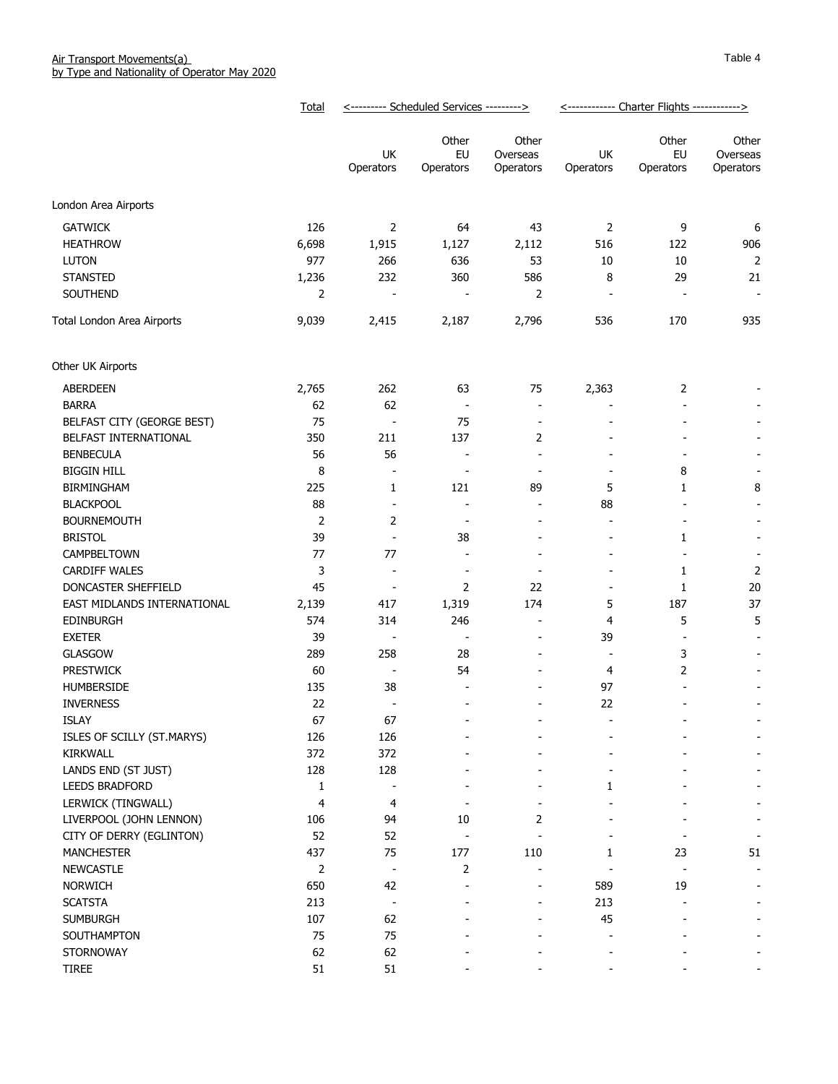|                                       | Total          | <--------- Scheduled Services ---------> |                          |                                            | <------------ Charter Flights ------------> |                          |                                |
|---------------------------------------|----------------|------------------------------------------|--------------------------|--------------------------------------------|---------------------------------------------|--------------------------|--------------------------------|
|                                       |                | UK<br>Operators                          | Other<br>EU<br>Operators | Other<br>Overseas<br>Operators             | UK<br>Operators                             | Other<br>EU<br>Operators | Other<br>Overseas<br>Operators |
| London Area Airports                  |                |                                          |                          |                                            |                                             |                          |                                |
|                                       |                |                                          |                          |                                            |                                             |                          |                                |
| <b>GATWICK</b>                        | 126<br>6,698   | 2                                        | 64                       | 43                                         | $\overline{2}$<br>516                       | 9                        | 6                              |
| <b>HEATHROW</b><br><b>LUTON</b>       | 977            | 1,915<br>266                             | 1,127<br>636             | 2,112<br>53                                | 10                                          | 122<br>10                | 906<br>$\overline{2}$          |
| <b>STANSTED</b>                       | 1,236          | 232                                      | 360                      | 586                                        | 8                                           | 29                       | 21                             |
| SOUTHEND                              | 2              |                                          |                          | 2                                          | $\overline{\phantom{a}}$                    |                          | ÷,                             |
| Total London Area Airports            | 9,039          | 2,415                                    | 2,187                    | 2,796                                      | 536                                         | 170                      | 935                            |
|                                       |                |                                          |                          |                                            |                                             |                          |                                |
| Other UK Airports                     |                |                                          |                          |                                            |                                             |                          |                                |
| <b>ABERDEEN</b>                       | 2,765          | 262                                      | 63                       | 75                                         | 2,363                                       | $\overline{2}$           |                                |
| <b>BARRA</b>                          | 62             | 62                                       | $\overline{\phantom{a}}$ | $\overline{\phantom{a}}$                   |                                             |                          |                                |
| BELFAST CITY (GEORGE BEST)            | 75             | $\overline{\phantom{a}}$                 | 75                       | $\overline{a}$                             |                                             |                          |                                |
| BELFAST INTERNATIONAL                 | 350            | 211                                      | 137                      | 2                                          |                                             |                          |                                |
| <b>BENBECULA</b>                      | 56             | 56                                       | $\overline{a}$           | $\overline{\phantom{a}}$                   |                                             |                          |                                |
| <b>BIGGIN HILL</b>                    | 8              |                                          | $\overline{a}$           | $\overline{\phantom{a}}$                   |                                             | 8                        |                                |
| <b>BIRMINGHAM</b>                     | 225            | 1                                        | 121                      | 89                                         | 5                                           | 1                        | 8                              |
| <b>BLACKPOOL</b>                      | 88             | $\overline{a}$                           | $\overline{a}$           | $\overline{\phantom{a}}$                   | 88                                          |                          | $\overline{a}$                 |
| <b>BOURNEMOUTH</b>                    | $\overline{2}$ | $\overline{2}$                           | $\overline{\phantom{a}}$ | $\overline{\phantom{a}}$                   | $\overline{\phantom{a}}$                    |                          | $\overline{a}$                 |
| <b>BRISTOL</b>                        | 39             |                                          | 38                       | $\overline{\phantom{a}}$                   | $\overline{\phantom{a}}$                    | 1                        | $\overline{\phantom{a}}$       |
| CAMPBELTOWN                           | 77             | 77                                       | $\blacksquare$           | $\blacksquare$                             | $\blacksquare$                              | $\blacksquare$           | $\overline{\phantom{a}}$       |
| <b>CARDIFF WALES</b>                  | 3              | $\blacksquare$                           | $\overline{\phantom{a}}$ | $\overline{\phantom{a}}$                   | $\overline{\phantom{a}}$                    | 1                        | $\overline{2}$                 |
| DONCASTER SHEFFIELD                   | 45             | $\overline{a}$                           | $\overline{2}$           | 22                                         | $\overline{a}$                              | 1                        | 20                             |
| EAST MIDLANDS INTERNATIONAL           | 2,139          | 417                                      | 1,319                    | 174                                        | 5                                           | 187                      | 37                             |
| <b>EDINBURGH</b>                      | 574            | 314                                      | 246                      | $\overline{\phantom{a}}$                   | 4                                           | 5<br>÷                   | 5                              |
| <b>EXETER</b>                         | 39             | $\overline{\phantom{a}}$                 | $\overline{\phantom{a}}$ | $\overline{\phantom{a}}$                   | 39                                          |                          | $\blacksquare$                 |
| <b>GLASGOW</b>                        | 289<br>60      | 258                                      | 28<br>54                 | $\overline{a}$<br>$\overline{\phantom{a}}$ | $\overline{\phantom{a}}$                    | 3                        |                                |
| <b>PRESTWICK</b><br><b>HUMBERSIDE</b> | 135            | 38                                       |                          |                                            | 4<br>97                                     | 2                        |                                |
| <b>INVERNESS</b>                      | 22             |                                          | $\overline{\phantom{a}}$ | $\overline{\phantom{a}}$                   | 22                                          |                          |                                |
| <b>ISLAY</b>                          | 67             | 67                                       |                          |                                            |                                             |                          |                                |
| ISLES OF SCILLY (ST.MARYS)            | 126            | 126                                      |                          |                                            |                                             |                          |                                |
| <b>KIRKWALL</b>                       | 372            | 372                                      |                          |                                            |                                             |                          |                                |
| LANDS END (ST JUST)                   | 128            | 128                                      |                          |                                            |                                             |                          |                                |
| LEEDS BRADFORD                        | 1              |                                          |                          |                                            | 1                                           |                          |                                |
| LERWICK (TINGWALL)                    | 4              | 4                                        |                          |                                            |                                             |                          |                                |
| LIVERPOOL (JOHN LENNON)               | 106            | 94                                       | 10                       | 2                                          |                                             |                          |                                |
| CITY OF DERRY (EGLINTON)              | 52             | 52                                       |                          |                                            |                                             |                          |                                |
| <b>MANCHESTER</b>                     | 437            | 75                                       | 177                      | 110                                        | 1                                           | 23                       | 51                             |
| <b>NEWCASTLE</b>                      | 2              | $\overline{\phantom{a}}$                 | 2                        |                                            |                                             |                          |                                |
| <b>NORWICH</b>                        | 650            | 42                                       | $\overline{\phantom{m}}$ | -                                          | 589                                         | 19                       |                                |
| <b>SCATSTA</b>                        | 213            | $\overline{a}$                           | $\blacksquare$           | $\overline{a}$                             | 213                                         |                          | $\overline{\phantom{a}}$       |
| <b>SUMBURGH</b>                       | 107            | 62                                       |                          | $\qquad \qquad \blacksquare$               | 45                                          |                          |                                |
| SOUTHAMPTON                           | 75             | 75                                       |                          |                                            |                                             |                          |                                |
| <b>STORNOWAY</b>                      | 62             | 62                                       |                          |                                            |                                             |                          |                                |
| <b>TIREE</b>                          | 51             | 51                                       |                          |                                            |                                             |                          |                                |